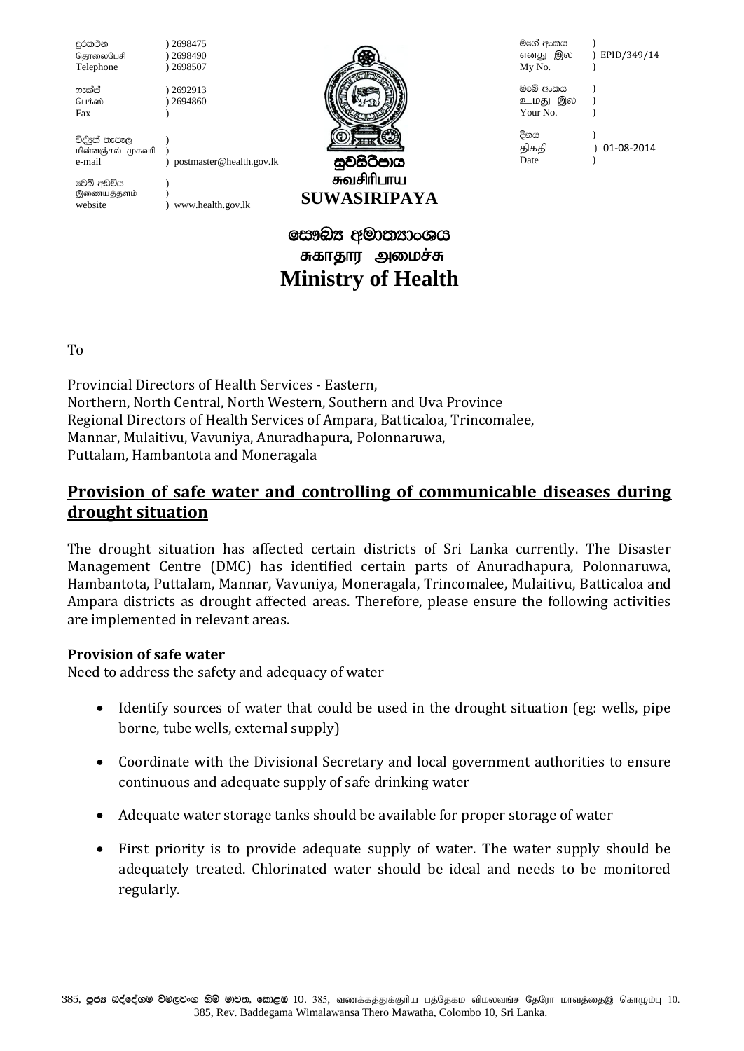දුරකථන தொலைபேசி Telephone

ෆැක්ස් பெக்ஸ் ) 2698490 ) 2698507 ) 2692913  $12694860$ 

<sup>1</sup>

) 2698475

Fax

විද්යුත් තැපෑල மின்னஞ்சல் முகவரி e-mail

) postmaster@health.gov.lk

වෙබ් අඩවිය இணையத்தளம் website

) www.health.gov.lk



சுவசிரிபாய **SUWASIRIPAYA** 

## සෞඛ $x$  අමාතනාංශය சுகாதார அமைச்சு **Ministry of Health**

මගේ අංකය ) EPID/349/14 எனது இல My No.  $\lambda$ ඔබේ අංකය உமது இல Your No.  $\lambda$ දිනය  $\overline{\phantom{a}}$  $01-08-2014$ திகதி Date

T<sub>0</sub>

Provincial Directors of Health Services - Eastern. Northern, North Central, North Western, Southern and Uva Province Regional Directors of Health Services of Ampara, Batticaloa, Trincomalee, Mannar, Mulaitivu, Vavuniya, Anuradhapura, Polonnaruwa, Puttalam, Hambantota and Moneragala

## <u>Provision of safe water and controlling of communicable diseases during</u> drought situation

The drought situation has affected certain districts of Sri Lanka currently. The Disaster Management Centre (DMC) has identified certain parts of Anuradhapura, Polonnaruwa, Hambantota, Puttalam, Mannar, Vavuniya, Moneragala, Trincomalee, Mulaitiyu, Batticaloa and Ampara districts as drought affected areas. Therefore, please ensure the following activities are implemented in relevant areas.

## **Provision of safe water**

Need to address the safety and adequacy of water

- Identify sources of water that could be used in the drought situation (eg: wells, pipe  $\bullet$ borne, tube wells, external supply)
- Coordinate with the Divisional Secretary and local government authorities to ensure  $\bullet$ continuous and adequate supply of safe drinking water
- Adequate water storage tanks should be available for proper storage of water  $\bullet$
- First priority is to provide adequate supply of water. The water supply should be  $\bullet$ adequately treated. Chlorinated water should be ideal and needs to be monitored regularly.